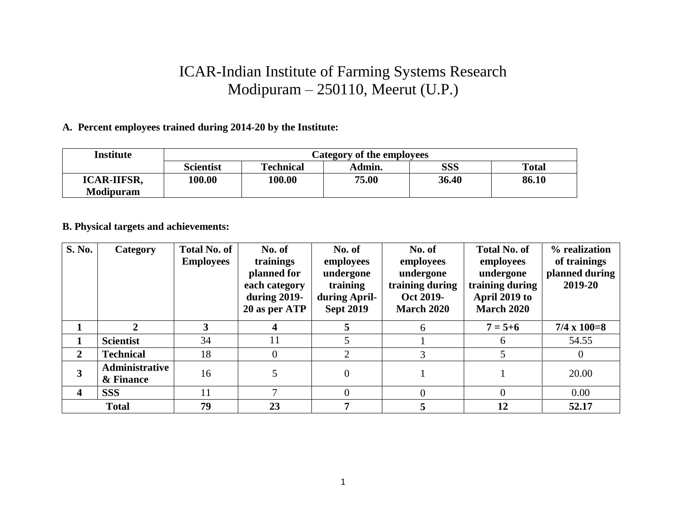## ICAR-Indian Institute of Farming Systems Research Modipuram – 250110, Meerut (U.P.)

## **A. Percent employees trained during 2014-20 by the Institute:**

| Institute          | Category of the employees |                  |                 |            |              |  |  |
|--------------------|---------------------------|------------------|-----------------|------------|--------------|--|--|
|                    | <b>Scientist</b>          | <b>Technical</b> | Admin.          | <b>SSS</b> | <b>Total</b> |  |  |
| <b>ICAR-IIFSR,</b> | 100.00                    |                  | 100.00<br>75.00 |            | 86.10        |  |  |
| <b>Modipuram</b>   |                           |                  |                 |            |              |  |  |

## **B. Physical targets and achievements:**

| <b>S. No.</b>           | Category                    | <b>Total No. of</b><br><b>Employees</b> | No. of<br>trainings<br>planned for<br>each category<br>during 2019-<br>20 as per ATP | No. of<br>employees<br>undergone<br>training<br>during April-<br><b>Sept 2019</b> | No. of<br>employees<br>undergone<br>training during<br>Oct 2019-<br><b>March 2020</b> | <b>Total No. of</b><br>employees<br>undergone<br>training during<br>April 2019 to<br><b>March 2020</b> | % realization<br>of trainings<br>planned during<br>2019-20 |
|-------------------------|-----------------------------|-----------------------------------------|--------------------------------------------------------------------------------------|-----------------------------------------------------------------------------------|---------------------------------------------------------------------------------------|--------------------------------------------------------------------------------------------------------|------------------------------------------------------------|
|                         | $\mathbf{2}$                | 3                                       | 4                                                                                    | 5                                                                                 | 6                                                                                     | $7 = 5 + 6$                                                                                            | $7/4 \times 100 = 8$                                       |
|                         | <b>Scientist</b>            | 34                                      | 11                                                                                   |                                                                                   |                                                                                       | h                                                                                                      | 54.55                                                      |
| $\overline{2}$          | <b>Technical</b>            | 18                                      | $\theta$                                                                             | 2                                                                                 | 3                                                                                     |                                                                                                        |                                                            |
| 3                       | Administrative<br>& Finance | 16                                      | 5                                                                                    | $\boldsymbol{0}$                                                                  |                                                                                       |                                                                                                        | 20.00                                                      |
| $\overline{\mathbf{4}}$ | <b>SSS</b>                  | 11                                      | $\mathcal{I}$                                                                        | $\Omega$                                                                          | $\Omega$                                                                              |                                                                                                        | 0.00                                                       |
|                         | <b>Total</b>                | 79                                      | 23                                                                                   | 7                                                                                 | 5                                                                                     | 12                                                                                                     | 52.17                                                      |